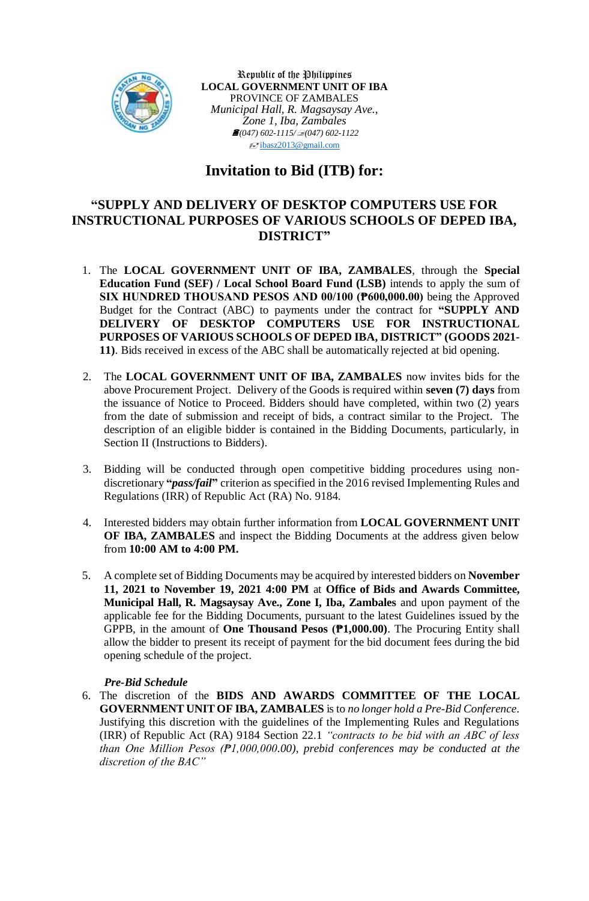

Republic of the Philippines **LOCAL GOVERNMENT UNIT OF IBA** PROVINCE OF ZAMBALES *Municipal Hall, R. Magsaysay Ave., Zone 1, Iba, Zambales (047) 602-1115/(047) 602-1122*  $\sqrt{\frac{1}{2}}$ [ibasz2013@gmail.com](mailto:ibasz2013@gmail.com)

# **Invitation to Bid (ITB) for:**

## **"SUPPLY AND DELIVERY OF DESKTOP COMPUTERS USE FOR INSTRUCTIONAL PURPOSES OF VARIOUS SCHOOLS OF DEPED IBA, DISTRICT"**

- 1. The **LOCAL GOVERNMENT UNIT OF IBA, ZAMBALES**, through the **Special Education Fund (SEF) / Local School Board Fund (LSB)** intends to apply the sum of **SIX HUNDRED THOUSAND PESOS AND 00/100 (₱600,000.00)** being the Approved Budget for the Contract (ABC) to payments under the contract for **"SUPPLY AND DELIVERY OF DESKTOP COMPUTERS USE FOR INSTRUCTIONAL PURPOSES OF VARIOUS SCHOOLS OF DEPED IBA, DISTRICT" (GOODS 2021- 11)**. Bids received in excess of the ABC shall be automatically rejected at bid opening.
- 2. The **LOCAL GOVERNMENT UNIT OF IBA, ZAMBALES** now invites bids for the above Procurement Project. Delivery of the Goods is required within **seven (7) days** from the issuance of Notice to Proceed. Bidders should have completed, within two (2) years from the date of submission and receipt of bids, a contract similar to the Project. The description of an eligible bidder is contained in the Bidding Documents, particularly, in Section II (Instructions to Bidders).
- 3. Bidding will be conducted through open competitive bidding procedures using nondiscretionary **"***pass/fail***"** criterion as specified in the 2016 revised Implementing Rules and Regulations (IRR) of Republic Act (RA) No. 9184.
- 4. Interested bidders may obtain further information from **LOCAL GOVERNMENT UNIT OF IBA, ZAMBALES** and inspect the Bidding Documents at the address given below from **10:00 AM to 4:00 PM.**
- 5. A complete set of Bidding Documents may be acquired by interested bidders on **November 11, 2021 to November 19, 2021 4:00 PM** at **Office of Bids and Awards Committee, Municipal Hall, R. Magsaysay Ave., Zone I, Iba, Zambales** and upon payment of the applicable fee for the Bidding Documents, pursuant to the latest Guidelines issued by the GPPB, in the amount of **One Thousand Pesos (₱1,000.00)**. The Procuring Entity shall allow the bidder to present its receipt of payment for the bid document fees during the bid opening schedule of the project.

### *Pre-Bid Schedule*

6. The discretion of the **BIDS AND AWARDS COMMITTEE OF THE LOCAL GOVERNMENT UNIT OF IBA, ZAMBALES** is to *no longer hold a Pre-Bid Conference*. Justifying this discretion with the guidelines of the Implementing Rules and Regulations (IRR) of Republic Act (RA) 9184 Section 22.1 *"contracts to be bid with an ABC of less than One Million Pesos (₱1,000,000.00), prebid conferences may be conducted at the discretion of the BAC"*